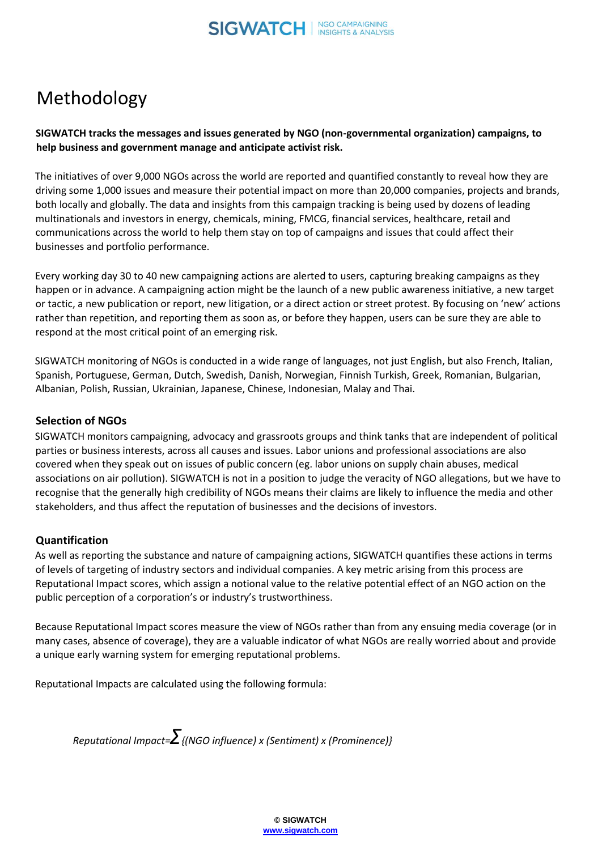# Methodology

# **SIGWATCH tracks the messages and issues generated by NGO (non-governmental organization) campaigns, to help business and government manage and anticipate activist risk.**

The initiatives of over 9,000 NGOs across the world are reported and quantified constantly to reveal how they are driving some 1,000 issues and measure their potential impact on more than 20,000 companies, projects and brands, both locally and globally. The data and insights from this campaign tracking is being used by dozens of leading multinationals and investors in energy, chemicals, mining, FMCG, financial services, healthcare, retail and communications across the world to help them stay on top of campaigns and issues that could affect their businesses and portfolio performance.

Every working day 30 to 40 new campaigning actions are alerted to users, capturing breaking campaigns as they happen or in advance. A campaigning action might be the launch of a new public awareness initiative, a new target or tactic, a new publication or report, new litigation, or a direct action or street protest. By focusing on 'new' actions rather than repetition, and reporting them as soon as, or before they happen, users can be sure they are able to respond at the most critical point of an emerging risk.

SIGWATCH monitoring of NGOs is conducted in a wide range of languages, not just English, but also French, Italian, Spanish, Portuguese, German, Dutch, Swedish, Danish, Norwegian, Finnish Turkish, Greek, Romanian, Bulgarian, Albanian, Polish, Russian, Ukrainian, Japanese, Chinese, Indonesian, Malay and Thai.

# **Selection of NGOs**

SIGWATCH monitors campaigning, advocacy and grassroots groups and think tanks that are independent of political parties or business interests, across all causes and issues. Labor unions and professional associations are also covered when they speak out on issues of public concern (eg. labor unions on supply chain abuses, medical associations on air pollution). SIGWATCH is not in a position to judge the veracity of NGO allegations, but we have to recognise that the generally high credibility of NGOs means their claims are likely to influence the media and other stakeholders, and thus affect the reputation of businesses and the decisions of investors.

# **Quantification**

As well as reporting the substance and nature of campaigning actions, SIGWATCH quantifies these actions in terms of levels of targeting of industry sectors and individual companies. A key metric arising from this process are Reputational Impact scores, which assign a notional value to the relative potential effect of an NGO action on the public perception of a corporation's or industry's trustworthiness.

Because Reputational Impact scores measure the view of NGOs rather than from any ensuing media coverage (or in many cases, absence of coverage), they are a valuable indicator of what NGOs are really worried about and provide a unique early warning system for emerging reputational problems.

Reputational Impacts are calculated using the following formula:

*Reputational Impact=Σ{(NGO influence) x (Sentiment) x (Prominence)}*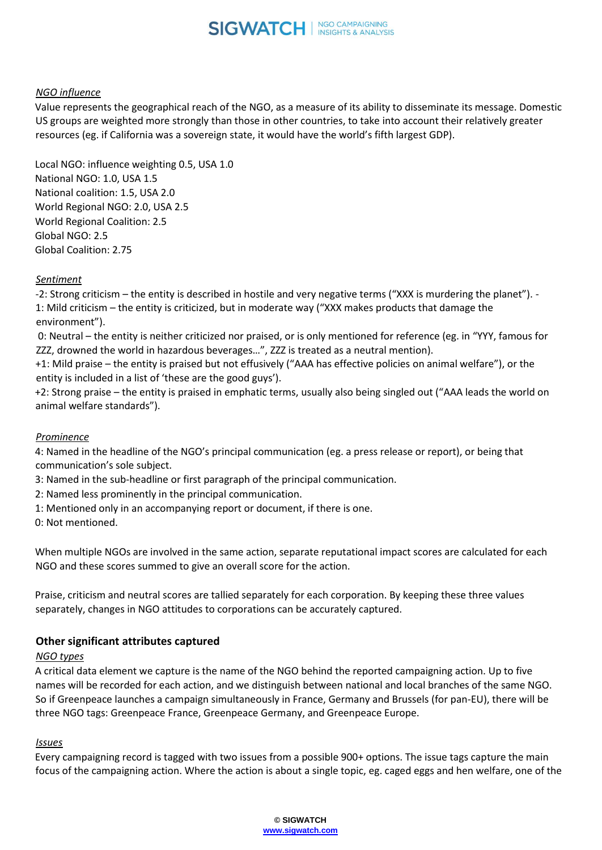

## *NGO influence*

Value represents the geographical reach of the NGO, as a measure of its ability to disseminate its message. Domestic US groups are weighted more strongly than those in other countries, to take into account their relatively greater resources (eg. if California was a sovereign state, it would have the world's fifth largest GDP).

Local NGO: influence weighting 0.5, USA 1.0 National NGO: 1.0, USA 1.5 National coalition: 1.5, USA 2.0 World Regional NGO: 2.0, USA 2.5 World Regional Coalition: 2.5 Global NGO: 2.5 Global Coalition: 2.75

## *Sentiment*

-2: Strong criticism – the entity is described in hostile and very negative terms ("XXX is murdering the planet"). - 1: Mild criticism – the entity is criticized, but in moderate way ("XXX makes products that damage the environment").

0: Neutral – the entity is neither criticized nor praised, or is only mentioned for reference (eg. in "YYY, famous for ZZZ, drowned the world in hazardous beverages…", ZZZ is treated as a neutral mention).

+1: Mild praise – the entity is praised but not effusively ("AAA has effective policies on animal welfare"), or the entity is included in a list of 'these are the good guys').

+2: Strong praise – the entity is praised in emphatic terms, usually also being singled out ("AAA leads the world on animal welfare standards").

#### *Prominence*

4: Named in the headline of the NGO's principal communication (eg. a press release or report), or being that communication's sole subject.

3: Named in the sub-headline or first paragraph of the principal communication.

- 2: Named less prominently in the principal communication.
- 1: Mentioned only in an accompanying report or document, if there is one.

0: Not mentioned.

When multiple NGOs are involved in the same action, separate reputational impact scores are calculated for each NGO and these scores summed to give an overall score for the action.

Praise, criticism and neutral scores are tallied separately for each corporation. By keeping these three values separately, changes in NGO attitudes to corporations can be accurately captured.

## **Other significant attributes captured**

#### *NGO types*

A critical data element we capture is the name of the NGO behind the reported campaigning action. Up to five names will be recorded for each action, and we distinguish between national and local branches of the same NGO. So if Greenpeace launches a campaign simultaneously in France, Germany and Brussels (for pan-EU), there will be three NGO tags: Greenpeace France, Greenpeace Germany, and Greenpeace Europe.

#### *Issues*

Every campaigning record is tagged with two issues from a possible 900+ options. The issue tags capture the main focus of the campaigning action. Where the action is about a single topic, eg. caged eggs and hen welfare, one of the